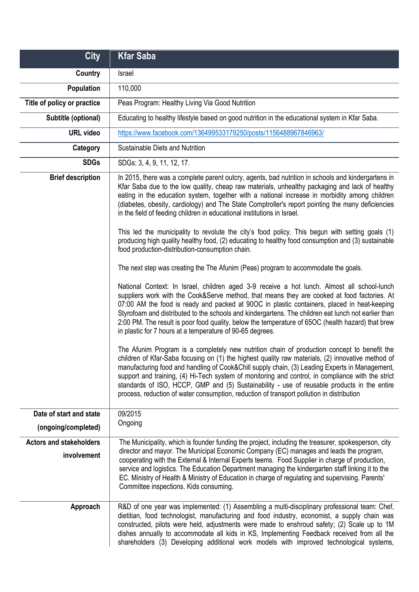| <b>City</b>                                   | <b>Kfar Saba</b>                                                                                                                                                                                                                                                                                                                                                                                                                                                                                                                                                                                                                                                                               |
|-----------------------------------------------|------------------------------------------------------------------------------------------------------------------------------------------------------------------------------------------------------------------------------------------------------------------------------------------------------------------------------------------------------------------------------------------------------------------------------------------------------------------------------------------------------------------------------------------------------------------------------------------------------------------------------------------------------------------------------------------------|
| <b>Country</b>                                | Israel                                                                                                                                                                                                                                                                                                                                                                                                                                                                                                                                                                                                                                                                                         |
| Population                                    | 110,000                                                                                                                                                                                                                                                                                                                                                                                                                                                                                                                                                                                                                                                                                        |
| Title of policy or practice                   | Peas Program: Healthy Living Via Good Nutrition                                                                                                                                                                                                                                                                                                                                                                                                                                                                                                                                                                                                                                                |
| Subtitle (optional)                           | Educating to healthy lifestyle based on good nutrition in the educational system in Kfar Saba.                                                                                                                                                                                                                                                                                                                                                                                                                                                                                                                                                                                                 |
| <b>URL video</b>                              | https://www.facebook.com/136499533179250/posts/1156488967846963/                                                                                                                                                                                                                                                                                                                                                                                                                                                                                                                                                                                                                               |
| Category                                      | Sustainable Diets and Nutrition                                                                                                                                                                                                                                                                                                                                                                                                                                                                                                                                                                                                                                                                |
| <b>SDGs</b>                                   | SDGs: 3, 4, 9, 11, 12, 17.                                                                                                                                                                                                                                                                                                                                                                                                                                                                                                                                                                                                                                                                     |
| <b>Brief description</b>                      | In 2015, there was a complete parent outcry, agents, bad nutrition in schools and kindergartens in<br>Kfar Saba due to the low quality, cheap raw materials, unhealthy packaging and lack of healthy<br>eating in the education system, together with a national increase in morbidity among children<br>(diabetes, obesity, cardiology) and The State Comptroller's report pointing the many deficiencies<br>in the field of feeding children in educational institutions in Israel.<br>This led the municipality to revolute the city's food policy. This begun with setting goals (1)<br>producing high quality healthy food, (2) educating to healthy food consumption and (3) sustainable |
|                                               | food production-distribution-consumption chain.                                                                                                                                                                                                                                                                                                                                                                                                                                                                                                                                                                                                                                                |
|                                               | The next step was creating the The Afunim (Peas) program to accommodate the goals.                                                                                                                                                                                                                                                                                                                                                                                                                                                                                                                                                                                                             |
|                                               | National Context: In Israel, children aged 3-9 receive a hot lunch. Almost all school-lunch<br>suppliers work with the Cook&Serve method, that means they are cooked at food factories. At<br>07:00 AM the food is ready and packed at 90OC in plastic containers, placed in heat-keeping<br>Styrofoam and distributed to the schools and kindergartens. The children eat lunch not earlier than<br>2:00 PM. The result is poor food quality, below the temperature of 65OC (health hazard) that brew<br>in plastic for 7 hours at a temperature of 90-65 degrees.                                                                                                                             |
|                                               | The Afunim Program is a completely new nutrition chain of production concept to benefit the<br>children of Kfar-Saba focusing on (1) the highest quality raw materials, (2) innovative method of<br>manufacturing food and handling of Cook&Chill supply chain, (3) Leading Experts in Management,<br>support and training, (4) Hi-Tech system of monitoring and control, in compliance with the strict<br>standards of ISO, HCCP, GMP and (5) Sustainability - use of reusable products in the entire<br>process, reduction of water consumption, reduction of transport pollution in distribution                                                                                            |
| Date of start and state                       | 09/2015                                                                                                                                                                                                                                                                                                                                                                                                                                                                                                                                                                                                                                                                                        |
| (ongoing/completed)                           | Ongoing                                                                                                                                                                                                                                                                                                                                                                                                                                                                                                                                                                                                                                                                                        |
| <b>Actors and stakeholders</b><br>involvement | The Municipality, which is founder funding the project, including the treasurer, spokesperson, city<br>director and mayor. The Municipal Economic Company (EC) manages and leads the program,<br>cooperating with the External & Internal Experts teems. Food Supplier in charge of production,<br>service and logistics. The Education Department managing the kindergarten staff linking it to the<br>EC. Ministry of Health & Ministry of Education in charge of regulating and supervising. Parents'<br>Committee inspections. Kids consuming.                                                                                                                                             |
| Approach                                      | R&D of one year was implemented: (1) Assembling a multi-disciplinary professional team: Chef,<br>dietitian, food technologist, manufacturing and food industry, economist, a supply chain was<br>constructed, pilots were held, adjustments were made to enshroud safety; (2) Scale up to 1M<br>dishes annually to accommodate all kids in KS, Implementing Feedback received from all the<br>shareholders (3) Developing additional work models with improved technological systems,                                                                                                                                                                                                          |